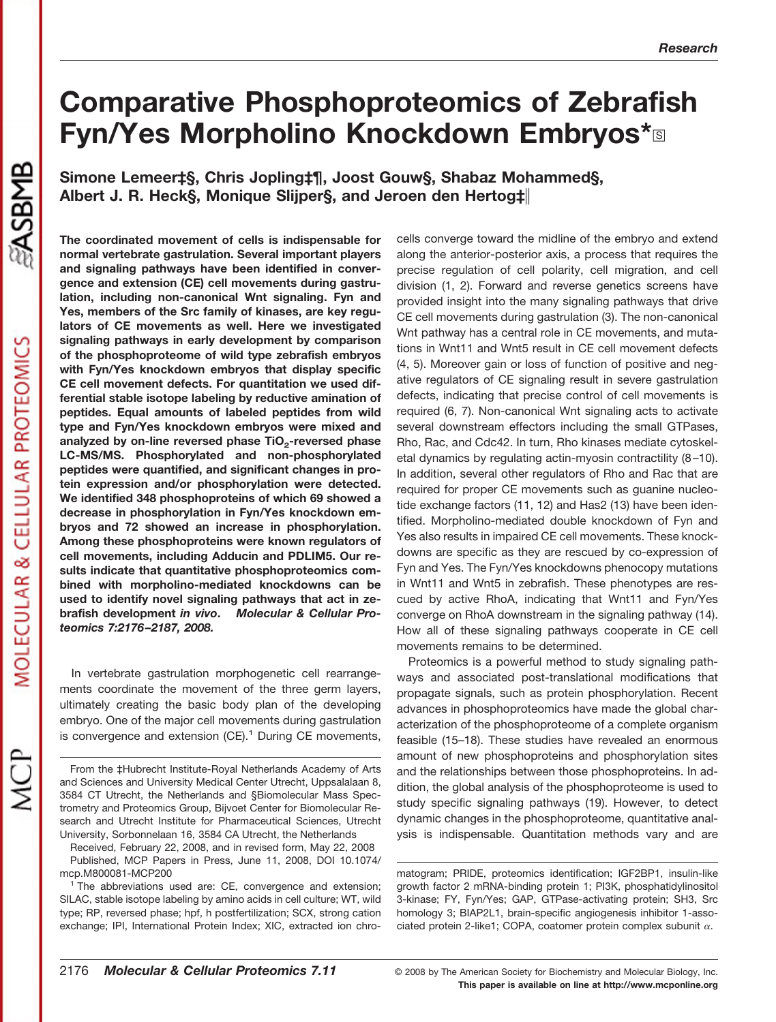# **Comparative Phosphoproteomics of Zebrafish Fyn/Yes Morpholino Knockdown Embryos\***□

**Simone Lemeer‡§, Chris Jopling‡¶, Joost Gouw§, Shabaz Mohammed§, Albert J. R. Heck§, Monique Slijper§, and Jeroen den Hertog‡**

MOLECULAR & CELLULAR PROTEOMICS

**The coordinated movement of cells is indispensable for normal vertebrate gastrulation. Several important players and signaling pathways have been identified in convergence and extension (CE) cell movements during gastrulation, including non-canonical Wnt signaling. Fyn and Yes, members of the Src family of kinases, are key regulators of CE movements as well. Here we investigated signaling pathways in early development by comparison of the phosphoproteome of wild type zebrafish embryos with Fyn/Yes knockdown embryos that display specific CE cell movement defects. For quantitation we used differential stable isotope labeling by reductive amination of peptides. Equal amounts of labeled peptides from wild type and Fyn/Yes knockdown embryos were mixed and** analyzed by on-line reversed phase TiO<sub>2</sub>-reversed phase **LC-MS/MS. Phosphorylated and non-phosphorylated peptides were quantified, and significant changes in protein expression and/or phosphorylation were detected. We identified 348 phosphoproteins of which 69 showed a decrease in phosphorylation in Fyn/Yes knockdown embryos and 72 showed an increase in phosphorylation. Among these phosphoproteins were known regulators of cell movements, including Adducin and PDLIM5. Our results indicate that quantitative phosphoproteomics combined with morpholino-mediated knockdowns can be used to identify novel signaling pathways that act in zebrafish development** *in vivo***.** *Molecular & Cellular Proteomics 7:2176 –2187, 2008.*

In vertebrate gastrulation morphogenetic cell rearrangements coordinate the movement of the three germ layers, ultimately creating the basic body plan of the developing embryo. One of the major cell movements during gastrulation is convergence and extension  $(CE)^1$  During CE movements,

cells converge toward the midline of the embryo and extend along the anterior-posterior axis, a process that requires the precise regulation of cell polarity, cell migration, and cell division (1, 2). Forward and reverse genetics screens have provided insight into the many signaling pathways that drive CE cell movements during gastrulation (3). The non-canonical Wnt pathway has a central role in CE movements, and mutations in Wnt11 and Wnt5 result in CE cell movement defects (4, 5). Moreover gain or loss of function of positive and negative regulators of CE signaling result in severe gastrulation defects, indicating that precise control of cell movements is required (6, 7). Non-canonical Wnt signaling acts to activate several downstream effectors including the small GTPases, Rho, Rac, and Cdc42. In turn, Rho kinases mediate cytoskeletal dynamics by regulating actin-myosin contractility (8–10). In addition, several other regulators of Rho and Rac that are required for proper CE movements such as guanine nucleotide exchange factors (11, 12) and Has2 (13) have been identified. Morpholino-mediated double knockdown of Fyn and Yes also results in impaired CE cell movements. These knockdowns are specific as they are rescued by co-expression of Fyn and Yes. The Fyn/Yes knockdowns phenocopy mutations in Wnt11 and Wnt5 in zebrafish. These phenotypes are rescued by active RhoA, indicating that Wnt11 and Fyn/Yes converge on RhoA downstream in the signaling pathway (14). How all of these signaling pathways cooperate in CE cell movements remains to be determined.

Proteomics is a powerful method to study signaling pathways and associated post-translational modifications that propagate signals, such as protein phosphorylation. Recent advances in phosphoproteomics have made the global characterization of the phosphoproteome of a complete organism feasible (15–18). These studies have revealed an enormous amount of new phosphoproteins and phosphorylation sites and the relationships between those phosphoproteins. In addition, the global analysis of the phosphoproteome is used to study specific signaling pathways (19). However, to detect dynamic changes in the phosphoproteome, quantitative analysis is indispensable. Quantitation methods vary and are

matogram; PRIDE, proteomics identification; IGF2BP1, insulin-like growth factor 2 mRNA-binding protein 1; PI3K, phosphatidylinositol 3-kinase; FY, Fyn/Yes; GAP, GTPase-activating protein; SH3, Src homology 3; BIAP2L1, brain-specific angiogenesis inhibitor 1-associated protein 2-like1; COPA, coatomer protein complex subunit  $\alpha$ .

**This paper is available on line at http://www.mcponline.org**

From the ‡Hubrecht Institute-Royal Netherlands Academy of Arts and Sciences and University Medical Center Utrecht, Uppsalalaan 8, 3584 CT Utrecht, the Netherlands and §Biomolecular Mass Spectrometry and Proteomics Group, Bijvoet Center for Biomolecular Research and Utrecht Institute for Pharmaceutical Sciences, Utrecht University, Sorbonnelaan 16, 3584 CA Utrecht, the Netherlands

Received, February 22, 2008, and in revised form, May 22, 2008 Published, MCP Papers in Press, June 11, 2008, DOI 10.1074/ mcp.M800081-MCP200

 $1$  The abbreviations used are: CE, convergence and extension; SILAC, stable isotope labeling by amino acids in cell culture; WT, wild type; RP, reversed phase; hpf, h postfertilization; SCX, strong cation exchange; IPI, International Protein Index; XIC, extracted ion chro-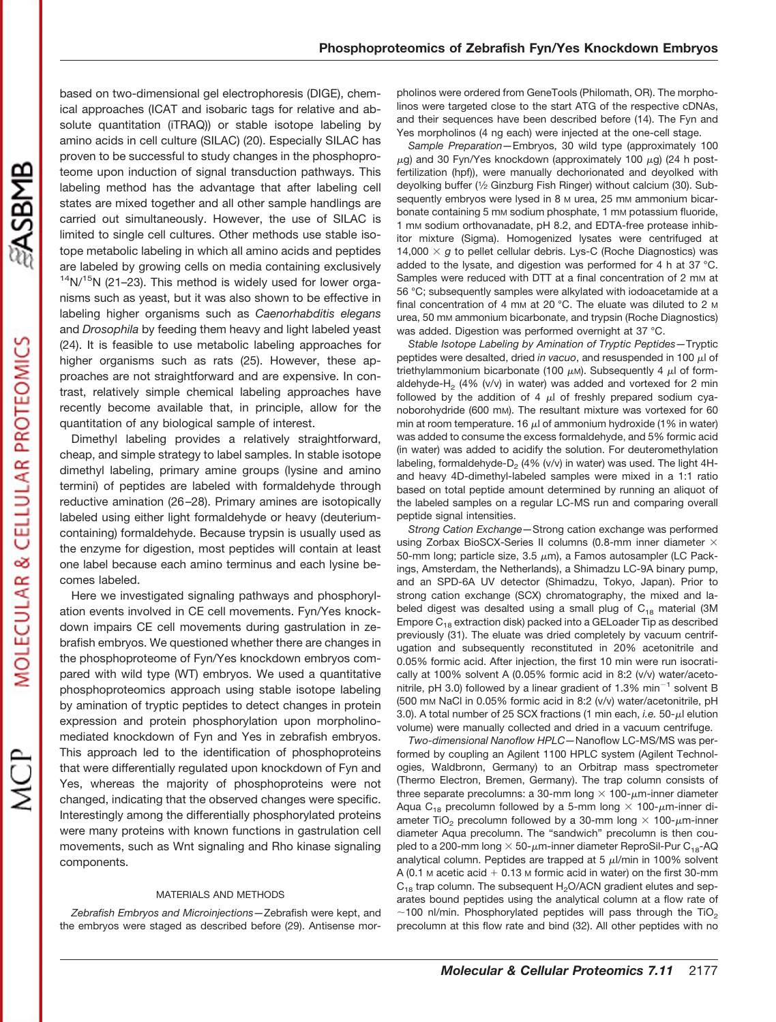MOLECULAR & CELLULAR PROTEOMICS

based on two-dimensional gel electrophoresis (DIGE), chemical approaches (ICAT and isobaric tags for relative and absolute quantitation (iTRAQ)) or stable isotope labeling by amino acids in cell culture (SILAC) (20). Especially SILAC has proven to be successful to study changes in the phosphoproteome upon induction of signal transduction pathways. This labeling method has the advantage that after labeling cell states are mixed together and all other sample handlings are carried out simultaneously. However, the use of SILAC is limited to single cell cultures. Other methods use stable isotope metabolic labeling in which all amino acids and peptides are labeled by growing cells on media containing exclusively  $14$ N/ $15$ N (21–23). This method is widely used for lower organisms such as yeast, but it was also shown to be effective in labeling higher organisms such as *Caenorhabditis elegans* and *Drosophila* by feeding them heavy and light labeled yeast (24). It is feasible to use metabolic labeling approaches for higher organisms such as rats (25). However, these approaches are not straightforward and are expensive. In contrast, relatively simple chemical labeling approaches have recently become available that, in principle, allow for the quantitation of any biological sample of interest.

Dimethyl labeling provides a relatively straightforward, cheap, and simple strategy to label samples. In stable isotope dimethyl labeling, primary amine groups (lysine and amino termini) of peptides are labeled with formaldehyde through reductive amination (26–28). Primary amines are isotopically labeled using either light formaldehyde or heavy (deuteriumcontaining) formaldehyde. Because trypsin is usually used as the enzyme for digestion, most peptides will contain at least one label because each amino terminus and each lysine becomes labeled.

Here we investigated signaling pathways and phosphorylation events involved in CE cell movements. Fyn/Yes knockdown impairs CE cell movements during gastrulation in zebrafish embryos. We questioned whether there are changes in the phosphoproteome of Fyn/Yes knockdown embryos compared with wild type (WT) embryos. We used a quantitative phosphoproteomics approach using stable isotope labeling by amination of tryptic peptides to detect changes in protein expression and protein phosphorylation upon morpholinomediated knockdown of Fyn and Yes in zebrafish embryos. This approach led to the identification of phosphoproteins that were differentially regulated upon knockdown of Fyn and Yes, whereas the majority of phosphoproteins were not changed, indicating that the observed changes were specific. Interestingly among the differentially phosphorylated proteins were many proteins with known functions in gastrulation cell movements, such as Wnt signaling and Rho kinase signaling components.

#### MATERIALS AND METHODS

*Zebrafish Embryos and Microinjections—*Zebrafish were kept, and the embryos were staged as described before (29). Antisense morpholinos were ordered from GeneTools (Philomath, OR). The morpholinos were targeted close to the start ATG of the respective cDNAs, and their sequences have been described before (14). The Fyn and Yes morpholinos (4 ng each) were injected at the one-cell stage.

*Sample Preparation—*Embryos, 30 wild type (approximately 100  $\mu$ g) and 30 Fyn/Yes knockdown (approximately 100  $\mu$ g) (24 h postfertilization (hpf)), were manually dechorionated and deyolked with deyolking buffer (1⁄2 Ginzburg Fish Ringer) without calcium (30). Subsequently embryos were lysed in 8 M urea, 25 mM ammonium bicarbonate containing 5 mm sodium phosphate, 1 mm potassium fluoride, 1 mM sodium orthovanadate, pH 8.2, and EDTA-free protease inhibitor mixture (Sigma). Homogenized lysates were centrifuged at 14,000  $\times$  g to pellet cellular debris. Lys-C (Roche Diagnostics) was added to the lysate, and digestion was performed for 4 h at 37 °C. Samples were reduced with DTT at a final concentration of 2 mm at 56 °C; subsequently samples were alkylated with iodoacetamide at a final concentration of 4 mm at 20 °C. The eluate was diluted to 2 m urea, 50 mm ammonium bicarbonate, and trypsin (Roche Diagnostics) was added. Digestion was performed overnight at 37 °C.

*Stable Isotope Labeling by Amination of Tryptic Peptides—*Tryptic peptides were desalted, dried *in vacuo*, and resuspended in 100  $\mu$ l of triethylammonium bicarbonate (100  $\mu$ м). Subsequently 4  $\mu$ l of formaldehyde-H<sub>2</sub> (4% (v/v) in water) was added and vortexed for 2 min followed by the addition of 4  $\mu$  of freshly prepared sodium cyanoborohydride (600 mM). The resultant mixture was vortexed for 60 min at room temperature. 16  $\mu$ l of ammonium hydroxide (1% in water) was added to consume the excess formaldehyde, and 5% formic acid (in water) was added to acidify the solution. For deuteromethylation labeling, formaldehyde- $D_2$  (4% (v/v) in water) was used. The light 4Hand heavy 4D-dimethyl-labeled samples were mixed in a 1:1 ratio based on total peptide amount determined by running an aliquot of the labeled samples on a regular LC-MS run and comparing overall peptide signal intensities.

*Strong Cation Exchange—*Strong cation exchange was performed using Zorbax BioSCX-Series II columns (0.8-mm inner diameter  $\times$ 50-mm long; particle size, 3.5  $\mu$ m), a Famos autosampler (LC Packings, Amsterdam, the Netherlands), a Shimadzu LC-9A binary pump, and an SPD-6A UV detector (Shimadzu, Tokyo, Japan). Prior to strong cation exchange (SCX) chromatography, the mixed and labeled digest was desalted using a small plug of  $C_{18}$  material (3M Empore  $C_{18}$  extraction disk) packed into a GELoader Tip as described previously (31). The eluate was dried completely by vacuum centrifugation and subsequently reconstituted in 20% acetonitrile and 0.05% formic acid. After injection, the first 10 min were run isocratically at 100% solvent A (0.05% formic acid in 8:2 (v/v) water/acetonitrile, pH 3.0) followed by a linear gradient of 1.3% min<sup>-1</sup> solvent B (500 mM NaCl in 0.05% formic acid in 8:2 (v/v) water/acetonitrile, pH 3.0). A total number of 25 SCX fractions (1 min each, *i.e.* 50-µl elution volume) were manually collected and dried in a vacuum centrifuge.

*Two-dimensional Nanoflow HPLC—*Nanoflow LC-MS/MS was performed by coupling an Agilent 1100 HPLC system (Agilent Technologies, Waldbronn, Germany) to an Orbitrap mass spectrometer (Thermo Electron, Bremen, Germany). The trap column consists of three separate precolumns: a 30-mm long  $\times$  100- $\mu$ m-inner diameter Aqua C<sub>18</sub> precolumn followed by a 5-mm long  $\times$  100- $\mu$ m-inner diameter TiO<sub>2</sub> precolumn followed by a 30-mm long  $\times$  100- $\mu$ m-inner diameter Aqua precolumn. The "sandwich" precolumn is then coupled to a 200-mm long  $\times$  50- $\mu$ m-inner diameter ReproSil-Pur C<sub>18</sub>-AQ analytical column. Peptides are trapped at 5  $\mu$ l/min in 100% solvent A (0.1 M acetic acid  $+$  0.13 M formic acid in water) on the first 30-mm  $C_{18}$  trap column. The subsequent  $H_2O/ACN$  gradient elutes and separates bound peptides using the analytical column at a flow rate of  $\sim$ 100 nl/min. Phosphorylated peptides will pass through the TiO<sub>2</sub> precolumn at this flow rate and bind (32). All other peptides with no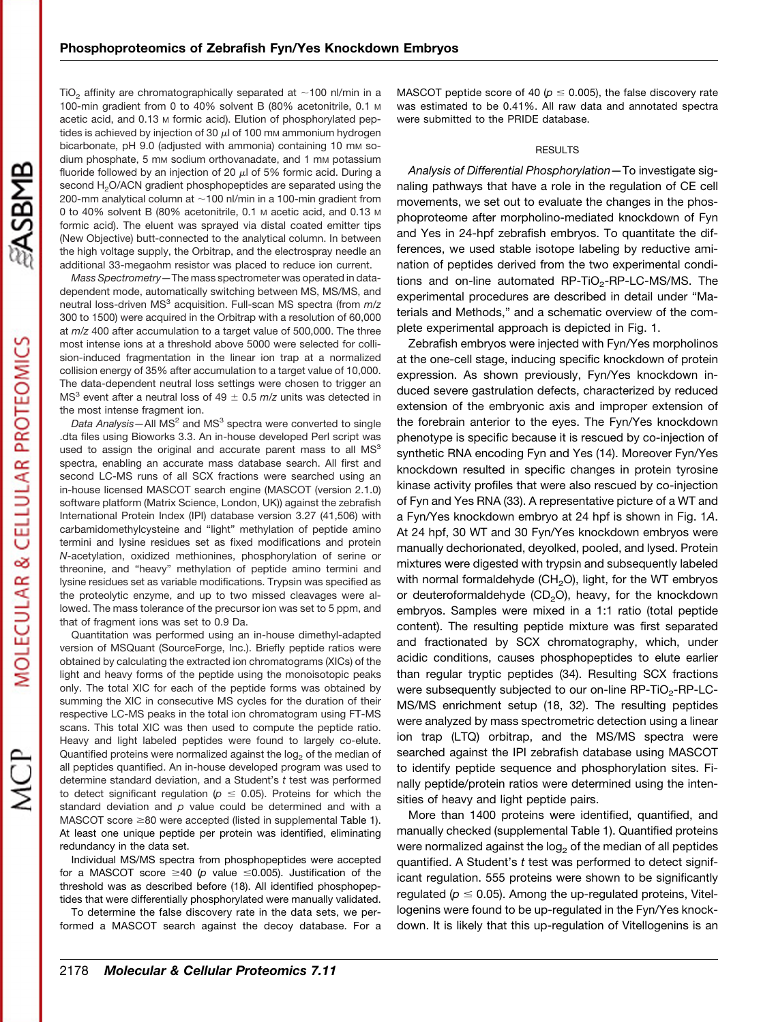TiO<sub>2</sub> affinity are chromatographically separated at  $\sim$ 100 nl/min in a 100-min gradient from 0 to 40% solvent B (80% acetonitrile, 0.1 M acetic acid, and 0.13 M formic acid). Elution of phosphorylated peptides is achieved by injection of 30  $\mu$ l of 100 mm ammonium hydrogen bicarbonate, pH 9.0 (adjusted with ammonia) containing 10 mm sodium phosphate, 5 mm sodium orthovanadate, and 1 mm potassium fluoride followed by an injection of 20  $\mu$ l of 5% formic acid. During a second H<sub>2</sub>O/ACN gradient phosphopeptides are separated using the 200-mm analytical column at  $\sim$  100 nl/min in a 100-min gradient from 0 to 40% solvent B (80% acetonitrile, 0.1 M acetic acid, and 0.13 M formic acid). The eluent was sprayed via distal coated emitter tips (New Objective) butt-connected to the analytical column. In between the high voltage supply, the Orbitrap, and the electrospray needle an additional 33-megaohm resistor was placed to reduce ion current.

*Mass Spectrometry—*The mass spectrometer was operated in datadependent mode, automatically switching between MS, MS/MS, and neutral loss-driven MS3 acquisition. Full-scan MS spectra (from *m*/*z* 300 to 1500) were acquired in the Orbitrap with a resolution of 60,000 at *m*/*z* 400 after accumulation to a target value of 500,000. The three most intense ions at a threshold above 5000 were selected for collision-induced fragmentation in the linear ion trap at a normalized collision energy of 35% after accumulation to a target value of 10,000. The data-dependent neutral loss settings were chosen to trigger an  $MS<sup>3</sup>$  event after a neutral loss of 49  $\pm$  0.5  $m/z$  units was detected in the most intense fragment ion.

Data Analysis-All MS<sup>2</sup> and MS<sup>3</sup> spectra were converted to single .dta files using Bioworks 3.3. An in-house developed Perl script was used to assign the original and accurate parent mass to all  $MS<sup>3</sup>$ spectra, enabling an accurate mass database search. All first and second LC-MS runs of all SCX fractions were searched using an in-house licensed MASCOT search engine (MASCOT (version 2.1.0) software platform (Matrix Science, London, UK)) against the zebrafish International Protein Index (IPI) database version 3.27 (41,506) with carbamidomethylcysteine and "light" methylation of peptide amino termini and lysine residues set as fixed modifications and protein *N*-acetylation, oxidized methionines, phosphorylation of serine or threonine, and "heavy" methylation of peptide amino termini and lysine residues set as variable modifications. Trypsin was specified as the proteolytic enzyme, and up to two missed cleavages were allowed. The mass tolerance of the precursor ion was set to 5 ppm, and that of fragment ions was set to 0.9 Da.

Quantitation was performed using an in-house dimethyl-adapted version of MSQuant (SourceForge, Inc.). Briefly peptide ratios were obtained by calculating the extracted ion chromatograms (XICs) of the light and heavy forms of the peptide using the monoisotopic peaks only. The total XIC for each of the peptide forms was obtained by summing the XIC in consecutive MS cycles for the duration of their respective LC-MS peaks in the total ion chromatogram using FT-MS scans. This total XIC was then used to compute the peptide ratio. Heavy and light labeled peptides were found to largely co-elute. Quantified proteins were normalized against the log<sub>2</sub> of the median of all peptides quantified. An in-house developed program was used to determine standard deviation, and a Student's *t* test was performed to detect significant regulation ( $p \le 0.05$ ). Proteins for which the standard deviation and *p* value could be determined and with a  $MASCOT score \geq 80$  were accepted (listed in [supplemental](http://www.mcponline.org/cgi/content/full/M800081-MCP200/DC1) Table 1). At least one unique peptide per protein was identified, eliminating redundancy in the data set.

Individual MS/MS spectra from phosphopeptides were accepted for a MASCOT score  $\geq 40$  ( $p$  value  $\leq 0.005$ ). Justification of the threshold was as described before (18). All identified phosphopeptides that were differentially phosphorylated were manually validated.

To determine the false discovery rate in the data sets, we performed a MASCOT search against the decoy database. For a MASCOT peptide score of 40 ( $p \le 0.005$ ), the false discovery rate was estimated to be 0.41%. All raw data and annotated spectra were submitted to the PRIDE database.

## **RESULTS**

*Analysis of Differential Phosphorylation—*To investigate signaling pathways that have a role in the regulation of CE cell movements, we set out to evaluate the changes in the phosphoproteome after morpholino-mediated knockdown of Fyn and Yes in 24-hpf zebrafish embryos. To quantitate the differences, we used stable isotope labeling by reductive amination of peptides derived from the two experimental conditions and on-line automated  $RP-TiO<sub>2</sub>-RP-LC-MS/MS$ . The experimental procedures are described in detail under "Materials and Methods," and a schematic overview of the complete experimental approach is depicted in Fig. 1.

Zebrafish embryos were injected with Fyn/Yes morpholinos at the one-cell stage, inducing specific knockdown of protein expression. As shown previously, Fyn/Yes knockdown induced severe gastrulation defects, characterized by reduced extension of the embryonic axis and improper extension of the forebrain anterior to the eyes. The Fyn/Yes knockdown phenotype is specific because it is rescued by co-injection of synthetic RNA encoding Fyn and Yes (14). Moreover Fyn/Yes knockdown resulted in specific changes in protein tyrosine kinase activity profiles that were also rescued by co-injection of Fyn and Yes RNA (33). A representative picture of a WT and a Fyn/Yes knockdown embryo at 24 hpf is shown in Fig. 1*A*. At 24 hpf, 30 WT and 30 Fyn/Yes knockdown embryos were manually dechorionated, deyolked, pooled, and lysed. Protein mixtures were digested with trypsin and subsequently labeled with normal formaldehyde ( $CH<sub>2</sub>O$ ), light, for the WT embryos or deuteroformaldehyde  $(CD<sub>2</sub>O)$ , heavy, for the knockdown embryos. Samples were mixed in a 1:1 ratio (total peptide content). The resulting peptide mixture was first separated and fractionated by SCX chromatography, which, under acidic conditions, causes phosphopeptides to elute earlier than regular tryptic peptides (34). Resulting SCX fractions were subsequently subjected to our on-line  $RP-TiO<sub>2</sub>-RP-LC-$ MS/MS enrichment setup (18, 32). The resulting peptides were analyzed by mass spectrometric detection using a linear ion trap (LTQ) orbitrap, and the MS/MS spectra were searched against the IPI zebrafish database using MASCOT to identify peptide sequence and phosphorylation sites. Finally peptide/protein ratios were determined using the intensities of heavy and light peptide pairs.

More than 1400 proteins were identified, quantified, and manually checked [\(supplemental](http://www.mcponline.org/cgi/content/full/M800081-MCP200/DC1) Table 1). Quantified proteins were normalized against the  $log<sub>2</sub>$  of the median of all peptides quantified. A Student's *t* test was performed to detect significant regulation. 555 proteins were shown to be significantly regulated ( $p \le 0.05$ ). Among the up-regulated proteins, Vitellogenins were found to be up-regulated in the Fyn/Yes knockdown. It is likely that this up-regulation of Vitellogenins is an

**ASBMB**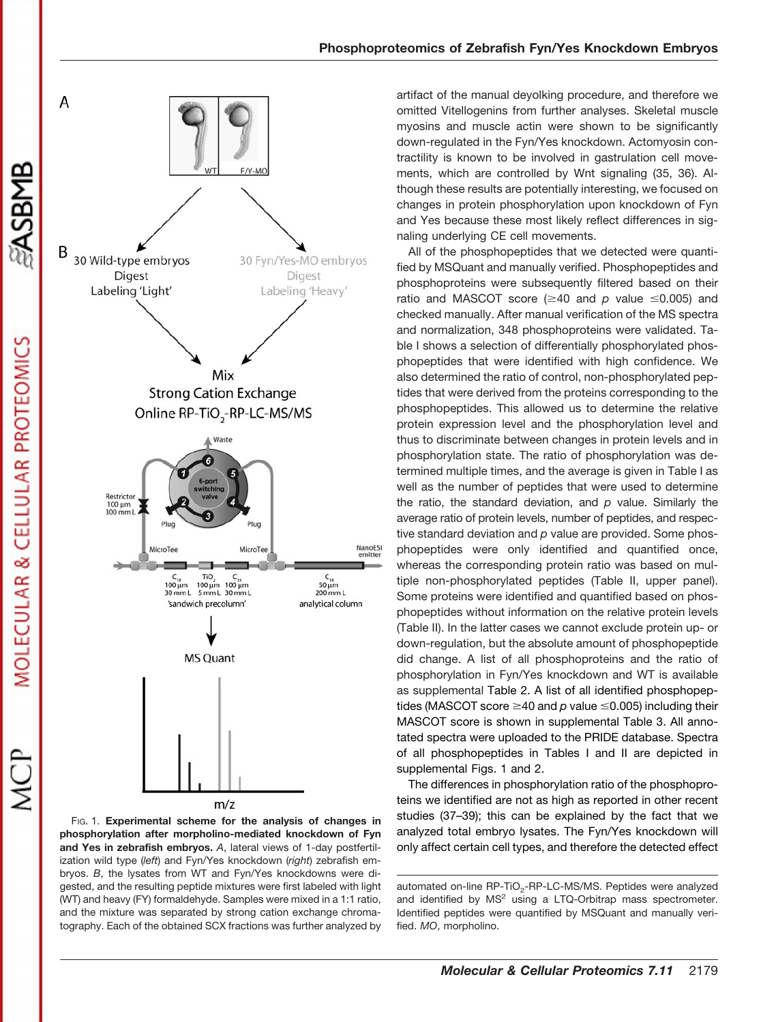

FIG. 1. **Experimental scheme for the analysis of changes in phosphorylation after morpholino-mediated knockdown of Fyn and Yes in zebrafish embryos.** *A*, lateral views of 1-day postfertilization wild type (*left*) and Fyn/Yes knockdown (*right*) zebrafish embryos. *B*, the lysates from WT and Fyn/Yes knockdowns were digested, and the resulting peptide mixtures were first labeled with light (WT) and heavy (FY) formaldehyde. Samples were mixed in a 1:1 ratio, and the mixture was separated by strong cation exchange chromatography. Each of the obtained SCX fractions was further analyzed by

artifact of the manual deyolking procedure, and therefore we omitted Vitellogenins from further analyses. Skeletal muscle myosins and muscle actin were shown to be significantly down-regulated in the Fyn/Yes knockdown. Actomyosin contractility is known to be involved in gastrulation cell movements, which are controlled by Wnt signaling (35, 36). Although these results are potentially interesting, we focused on changes in protein phosphorylation upon knockdown of Fyn and Yes because these most likely reflect differences in signaling underlying CE cell movements.

All of the phosphopeptides that we detected were quantified by MSQuant and manually verified. Phosphopeptides and phosphoproteins were subsequently filtered based on their ratio and MASCOT score  $(\geq 40$  and p value  $\leq 0.005$ ) and checked manually. After manual verification of the MS spectra and normalization, 348 phosphoproteins were validated. Table I shows a selection of differentially phosphorylated phosphopeptides that were identified with high confidence. We also determined the ratio of control, non-phosphorylated peptides that were derived from the proteins corresponding to the phosphopeptides. This allowed us to determine the relative protein expression level and the phosphorylation level and thus to discriminate between changes in protein levels and in phosphorylation state. The ratio of phosphorylation was determined multiple times, and the average is given in Table I as well as the number of peptides that were used to determine the ratio, the standard deviation, and *p* value. Similarly the average ratio of protein levels, number of peptides, and respective standard deviation and *p* value are provided. Some phosphopeptides were only identified and quantified once, whereas the corresponding protein ratio was based on multiple non-phosphorylated peptides (Table II, upper panel). Some proteins were identified and quantified based on phosphopeptides without information on the relative protein levels (Table II). In the latter cases we cannot exclude protein up- or down-regulation, but the absolute amount of phosphopeptide did change. A list of all phosphoproteins and the ratio of phosphorylation in Fyn/Yes knockdown and WT is available as [supplemental](http://www.mcponline.org/cgi/content/full/M800081-MCP200/DC1) Table 2. A list of all identified phosphopeptides (MASCOT score  $\geq$ 40 and p value  $\leq$ 0.005) including their MASCOT score is shown in [supplemental](http://www.mcponline.org/cgi/content/full/M800081-MCP200/DC1) Table 3. All annotated spectra were uploaded to the PRIDE database. Spectra of all phosphopeptides in Tables I and II are depicted in [supplemental](http://www.mcponline.org/cgi/content/full/M800081-MCP200/DC1) Figs. 1 and 2.

The differences in phosphorylation ratio of the phosphoproteins we identified are not as high as reported in other recent studies (37–39); this can be explained by the fact that we analyzed total embryo lysates. The Fyn/Yes knockdown will only affect certain cell types, and therefore the detected effect

**SASBMB** 

automated on-line RP-TiO<sub>2</sub>-RP-LC-MS/MS. Peptides were analyzed and identified by  $MS<sup>2</sup>$  using a LTQ-Orbitrap mass spectrometer. Identified peptides were quantified by MSQuant and manually verified. *MO*, morpholino.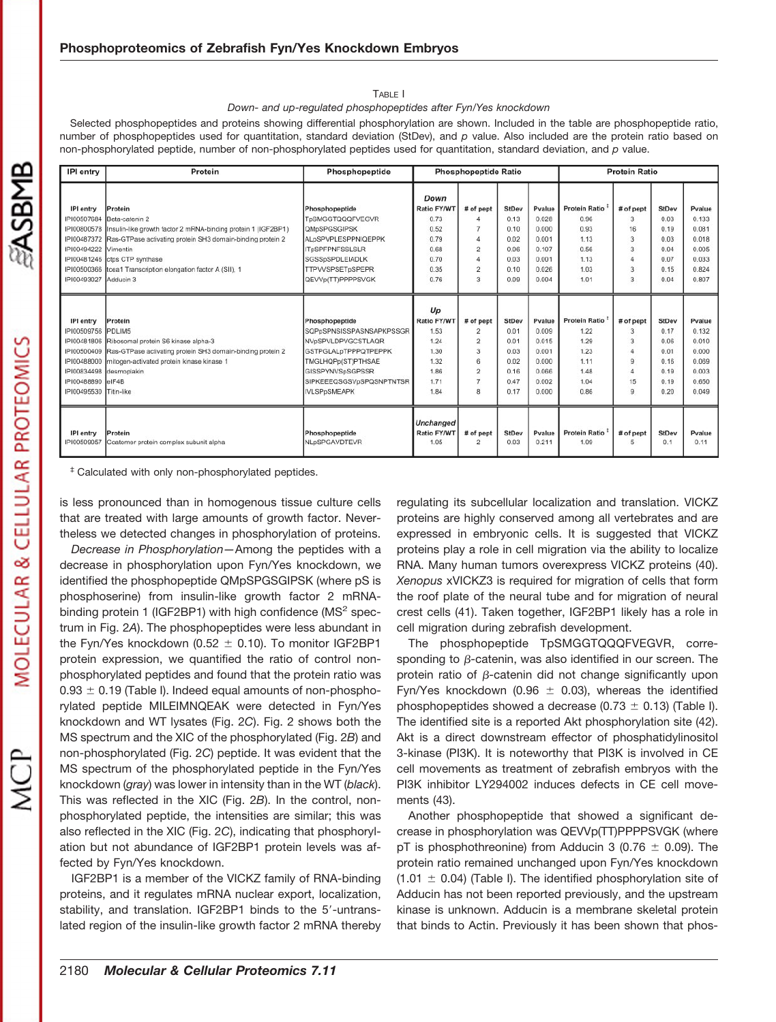#### TABLE I

#### *Down- and up-regulated phosphopeptides after Fyn/Yes knockdown*

Selected phosphopeptides and proteins showing differential phosphorylation are shown. Included in the table are phosphopeptide ratio, number of phosphopeptides used for quantitation, standard deviation (StDev), and *p* value. Also included are the protein ratio based on non-phosphorylated peptide, number of non-phosphorylated peptides used for quantitation, standard deviation, and *p* value.

| IPI entry                                                                                                 | Protein                                                                                                                                                                                                                                                                                       | Phosphopeptide                                                                                                                                                                                      | <b>Phosphopeptide Ratio</b>                                                                     |                                                                                                  |                                                                      |                                                                       | <b>Protein Ratio</b>                                                         |                                            |                                                                      |                                                                       |  |
|-----------------------------------------------------------------------------------------------------------|-----------------------------------------------------------------------------------------------------------------------------------------------------------------------------------------------------------------------------------------------------------------------------------------------|-----------------------------------------------------------------------------------------------------------------------------------------------------------------------------------------------------|-------------------------------------------------------------------------------------------------|--------------------------------------------------------------------------------------------------|----------------------------------------------------------------------|-----------------------------------------------------------------------|------------------------------------------------------------------------------|--------------------------------------------|----------------------------------------------------------------------|-----------------------------------------------------------------------|--|
| IPI entry<br>IPI00494222 Vimentin<br>IPI00493027 Adducin 3                                                | Protein<br>IPI00507684 Beta-catenin 2<br>IPI00800578 Insulin-like growth factor 2 mRNA-binding protein 1 (IGF2BP1)<br>IPI00487372 Ras-GTPase activating protein SH3 domain-binding protein 2<br>IPI00481246 ctps CTP synthase<br>IPI00500366 tcea1 Transcription elongation factor A (SII), 1 | Phosphopeptide<br>TpSMGGTQQQFVEGVR<br>QMpSPGSGIPSK<br>ALpSPVPLESPPNIQEPPK<br><b>ITpSPFPNFSSLSLR</b><br>SGSSpSPDLEIADLK<br><b>TTPVVSPSETpSPEPR</b><br>QEVVp(TT)PPPPSVGK                              | Down<br><b>Ratio FY/WT</b><br>0.73<br>0.52<br>0.79<br>0.68<br>0.70<br>0.35<br>0.76              | # of pept<br>7<br>$\Delta$<br>$\overline{2}$<br>$\overline{2}$<br>3                              | StDev<br>0.13<br>0.10<br>0.02<br>0.06<br>0.03<br>0.10<br>0.09        | Pvalue<br>0.028<br>0.000<br>0.001<br>0.107<br>0.001<br>0.026<br>0.004 | <b>Protein Ratio</b><br>0.96<br>0.93<br>1.13<br>0.56<br>1.13<br>1.03<br>1.01 | # of pept<br>3<br>16<br>3<br>3<br>3<br>3   | StDev<br>0.03<br>0.19<br>0.03<br>0.04<br>0.07<br>0.15<br>0.04        | Pvalue<br>0.133<br>0.081<br>0.018<br>0.005<br>0.033<br>0.824<br>0.807 |  |
| IPI entry<br>IPI00509756 PDLIM5<br>IPI00834498 desmoplakin<br>IPI00488890 eIF4B<br>IPI00495530 Titin-like | Protein<br>IPI00481806 Ribosomal protein S6 kinase alpha-3<br>IPI00500409 Ras-GTPase activating protein SH3 domain-binding protein 2<br>IPI00488000 mitogen-activated protein kinase kinase 1                                                                                                 | Phosphopeptide<br>SQPpSPNSISSPASNSAPKPSSGR<br>NVpSPVLDPVGCSTLAQR<br><b>GSTPGLALpTPPPQTPEPPK</b><br>TMGLHQPp(ST)PTHSAE<br><b>GISSPYNVSpSGPSSR</b><br>SIPKEEEQSGSVpSPQSNPTNTSR<br><b>IVLSPpSMEAPK</b> | $U_{\mathcal{D}}$<br><b>Ratio FY/WT</b><br>1.53<br>1.24<br>1.30<br>1.32<br>1.86<br>1.71<br>1.84 | # of pept<br>$\overline{2}$<br>$\overline{2}$<br>3<br>6<br>$\overline{2}$<br>$\overline{7}$<br>8 | <b>StDev</b><br>0.01<br>0.01<br>0.03<br>0.02<br>0.16<br>0.47<br>0.17 | Pvalue<br>0.009<br>0.015<br>0.001<br>0.000<br>0.066<br>0.002<br>0.000 | Protein Ratio<br>1.22<br>1.29<br>1.23<br>1.11<br>1.48<br>1.04<br>0.86        | # of pept<br>3<br>3<br>$\Omega$<br>15<br>9 | <b>StDev</b><br>0.17<br>0.06<br>0.01<br>0.16<br>0.19<br>0.19<br>0.20 | Pvalue<br>0.132<br>0.010<br>0.000<br>0.069<br>0.003<br>0.650<br>0.049 |  |
| IPI entry<br>IPI00509057                                                                                  | Protein<br>Coatomer protein complex subunit alpha                                                                                                                                                                                                                                             | Phosphopeptide<br>NLpSPGAVDTEVR                                                                                                                                                                     | <b>Unchanged</b><br>Ratio FY/WT<br>1.05                                                         | # of pept<br>$\overline{2}$                                                                      | StDev<br>0.03                                                        | Pvalue<br>0.211                                                       | Protein Ratio<br>1.09                                                        | # of pept<br>5                             | StDev<br>0.1                                                         | Pvalue<br>0.11                                                        |  |

‡ Calculated with only non-phosphorylated peptides.

is less pronounced than in homogenous tissue culture cells that are treated with large amounts of growth factor. Nevertheless we detected changes in phosphorylation of proteins.

*Decrease in Phosphorylation—*Among the peptides with a decrease in phosphorylation upon Fyn/Yes knockdown, we identified the phosphopeptide QMpSPGSGIPSK (where pS is phosphoserine) from insulin-like growth factor 2 mRNAbinding protein 1 (IGF2BP1) with high confidence ( $MS<sup>2</sup>$  spectrum in Fig. 2*A*). The phosphopeptides were less abundant in the Fyn/Yes knockdown (0.52  $\pm$  0.10). To monitor IGF2BP1 protein expression, we quantified the ratio of control nonphosphorylated peptides and found that the protein ratio was  $0.93 \pm 0.19$  (Table I). Indeed equal amounts of non-phosphorylated peptide MILEIMNQEAK were detected in Fyn/Yes knockdown and WT lysates (Fig. 2*C*). Fig. 2 shows both the MS spectrum and the XIC of the phosphorylated (Fig. 2*B*) and non-phosphorylated (Fig. 2*C*) peptide. It was evident that the MS spectrum of the phosphorylated peptide in the Fyn/Yes knockdown (*gray*) was lower in intensity than in the WT (*black*). This was reflected in the XIC (Fig. 2*B*). In the control, nonphosphorylated peptide, the intensities are similar; this was also reflected in the XIC (Fig. 2*C*), indicating that phosphorylation but not abundance of IGF2BP1 protein levels was affected by Fyn/Yes knockdown.

IGF2BP1 is a member of the VICKZ family of RNA-binding proteins, and it regulates mRNA nuclear export, localization, stability, and translation. IGF2BP1 binds to the 5'-untranslated region of the insulin-like growth factor 2 mRNA thereby regulating its subcellular localization and translation. VICKZ proteins are highly conserved among all vertebrates and are expressed in embryonic cells. It is suggested that VICKZ proteins play a role in cell migration via the ability to localize RNA. Many human tumors overexpress VICKZ proteins (40). *Xenopus* xVICKZ3 is required for migration of cells that form the roof plate of the neural tube and for migration of neural crest cells (41). Taken together, IGF2BP1 likely has a role in cell migration during zebrafish development.

The phosphopeptide TpSMGGTQQQFVEGVR, corresponding to  $\beta$ -catenin, was also identified in our screen. The protein ratio of  $\beta$ -catenin did not change significantly upon Fyn/Yes knockdown (0.96  $\pm$  0.03), whereas the identified phosphopeptides showed a decrease (0.73  $\pm$  0.13) (Table I). The identified site is a reported Akt phosphorylation site (42). Akt is a direct downstream effector of phosphatidylinositol 3-kinase (PI3K). It is noteworthy that PI3K is involved in CE cell movements as treatment of zebrafish embryos with the PI3K inhibitor LY294002 induces defects in CE cell movements (43).

Another phosphopeptide that showed a significant decrease in phosphorylation was QEVVp(TT)PPPPSVGK (where pT is phosphothreonine) from Adducin 3 (0.76  $\pm$  0.09). The protein ratio remained unchanged upon Fyn/Yes knockdown  $(1.01 \pm 0.04)$  (Table I). The identified phosphorylation site of Adducin has not been reported previously, and the upstream kinase is unknown. Adducin is a membrane skeletal protein that binds to Actin. Previously it has been shown that phos-

**ENSBNB**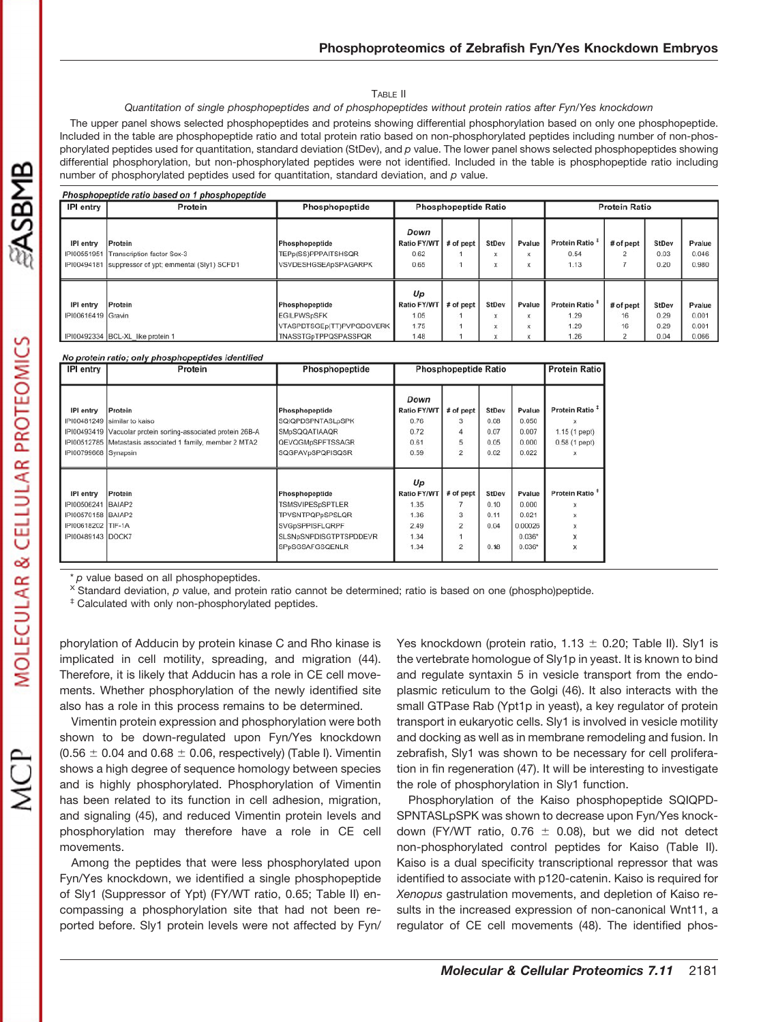#### TABLE II

## *Quantitation of single phosphopeptides and of phosphopeptides without protein ratios after Fyn/Yes knockdown*

The upper panel shows selected phosphopeptides and proteins showing differential phosphorylation based on only one phosphopeptide. Included in the table are phosphopeptide ratio and total protein ratio based on non-phosphorylated peptides including number of non-phosphorylated peptides used for quantitation, standard deviation (StDev), and *p* value. The lower panel shows selected phosphopeptides showing differential phosphorylation, but non-phosphorylated peptides were not identified. Included in the table is phosphopeptide ratio including number of phosphorylated peptides used for quantitation, standard deviation, and *p* value.

| Phosphopeptide ratio based on 1 phosphopeptide |                                                                                                        |                                                                                           |                                                  |                             |                            |                  |                                       |                            |                                      |                                   |  |  |
|------------------------------------------------|--------------------------------------------------------------------------------------------------------|-------------------------------------------------------------------------------------------|--------------------------------------------------|-----------------------------|----------------------------|------------------|---------------------------------------|----------------------------|--------------------------------------|-----------------------------------|--|--|
| <b>IPI</b> entry                               | Protein                                                                                                | Phosphopeptide                                                                            |                                                  | <b>Phosphopeptide Ratio</b> |                            |                  | <b>Protein Ratio</b>                  |                            |                                      |                                   |  |  |
| IPI entry<br>PI00551951                        | <b>Protein</b><br>1 Transcription factor Sox-3<br>IPI00494181 suppressor of ypt; emmental (Sly1) SCFD1 | Phosphopeptide<br>TEPp(SS)PPPAITSHSQR<br>VSVDESHGSEApSPAGARPK                             | Down<br><b>Ratio FY/WT</b><br>0.62<br>0.65       | # of pept                   | StDev<br>X<br>$\mathsf{x}$ | Pvalue<br>x<br>x | Protein Ratio<br>0.54<br>1.13         | # of pept<br>n             | StDev<br>0.03<br>0.20                | Pvalue<br>0.046<br>0.980          |  |  |
| IPI entry<br>IPI00616419 Gravin                | Protein<br>IPI00492334 BCL-XL like protein 1                                                           | Phosphopeptide<br><b>EGILPWSpSFK</b><br>VTASPDTSGEp(TT)PVPGDGVERK<br>TNASSTGpTPPQSPASSPQR | Up<br><b>Ratio FY/WT</b><br>1.05<br>1.75<br>1.48 | $#$ of pept                 | StDev<br>X<br>X            | Pvalue<br>x<br>x | Protein Ratio<br>1.29<br>1.29<br>1.26 | # of pept<br>16<br>16<br>2 | <b>StDev</b><br>0.29<br>0.29<br>0.04 | Pvalue<br>0.001<br>0.001<br>0.066 |  |  |

### No protein ratio; only phosphopeptides identified

| IPI entry            | Protein                                                       | Phosphopeptide          | <b>Phosphopeptide Ratio</b> | <b>Protein Ratio</b> |       |          |                            |
|----------------------|---------------------------------------------------------------|-------------------------|-----------------------------|----------------------|-------|----------|----------------------------|
|                      |                                                               |                         |                             |                      |       |          |                            |
|                      |                                                               |                         | Down                        |                      |       |          |                            |
| IPI entry            | Protein                                                       | Phosphopeptide          | Ratio FY/WT                 | # of pept            | StDev | Pvalue   | Protein Ratio <sup>#</sup> |
|                      | IPI00481249 similar to kaiso                                  | SQIQPDSPNTASLpSPK       | 0.76                        |                      | 0.08  | 0.050    |                            |
|                      | IPI00493419 Vacuolar protein sorting-associated protein 26B-A | <b>SMpSQQATIAAQR</b>    | 0.72                        |                      | 0.07  | 0.007    | 1.15 (1 pept)              |
|                      | IPI00512785 Metastasis associated 1 family, member 2 MTA2     | <b>QEVQGMpSPFTSSAGR</b> | 0.61                        | 5                    | 0.05  | 0.000    | $0.58(1$ pept)             |
| IPI00799668 Synapsin |                                                               | SQGPAVpSPQPISQSR        | 0.59                        | $\overline{2}$       | 0.02  | 0.022    | $\mathbf x$                |
|                      |                                                               |                         |                             |                      |       |          |                            |
|                      |                                                               |                         | Up                          |                      |       |          |                            |
| IPI entry            | Protein                                                       | Phosphopeptide          | <b>Ratio FY/WT</b>          | # of pept            | StDev | Pvalue   | Protein Ratio <sup>#</sup> |
| IPI00506241 BAIAP2   |                                                               | <b>TSMSVIPESpSPTLER</b> | 1.35                        |                      | 0.10  | 0.000    | x                          |
| IPI00570158 BAIAP2   |                                                               | <b>TPVSNTPQPpSPSLQR</b> | 1.36                        | 3.                   | 0.11  | 0.021    | x                          |
| IPI00618202 TIF-1A   |                                                               | <b>SVGpSPPISFLQRPF</b>  | 2.49                        | $\overline{2}$       | 0.04  | 0.00026  | x                          |
| IPI00489143 DOCK7    |                                                               | SLSNpSNPDISGTPTSPDDEVR  | 1.34                        |                      |       | $0.036*$ | X                          |
|                      |                                                               | SPpSGSAFGSQENLR         | 1.34                        | $\overline{2}$       | 0.18  | $0.036*$ | X                          |
|                      |                                                               |                         |                             |                      |       |          |                            |

\* *p* value based on all phosphopeptides.

<sup>X</sup> Standard deviation, *p* value, and protein ratio cannot be determined; ratio is based on one (phospho)peptide.

‡ Calculated with only non-phosphorylated peptides.

phorylation of Adducin by protein kinase C and Rho kinase is implicated in cell motility, spreading, and migration (44). Therefore, it is likely that Adducin has a role in CE cell movements. Whether phosphorylation of the newly identified site also has a role in this process remains to be determined.

Vimentin protein expression and phosphorylation were both shown to be down-regulated upon Fyn/Yes knockdown  $(0.56 \pm 0.04$  and  $0.68 \pm 0.06$ , respectively) (Table I). Vimentin shows a high degree of sequence homology between species and is highly phosphorylated. Phosphorylation of Vimentin has been related to its function in cell adhesion, migration, and signaling (45), and reduced Vimentin protein levels and phosphorylation may therefore have a role in CE cell movements.

Among the peptides that were less phosphorylated upon Fyn/Yes knockdown, we identified a single phosphopeptide of Sly1 (Suppressor of Ypt) (FY/WT ratio, 0.65; Table II) encompassing a phosphorylation site that had not been reported before. Sly1 protein levels were not affected by Fyn/

Yes knockdown (protein ratio,  $1.13 \pm 0.20$ ; Table II). Sly1 is the vertebrate homologue of Sly1p in yeast. It is known to bind and regulate syntaxin 5 in vesicle transport from the endoplasmic reticulum to the Golgi (46). It also interacts with the small GTPase Rab (Ypt1p in yeast), a key regulator of protein transport in eukaryotic cells. Sly1 is involved in vesicle motility and docking as well as in membrane remodeling and fusion. In zebrafish, Sly1 was shown to be necessary for cell proliferation in fin regeneration (47). It will be interesting to investigate the role of phosphorylation in Sly1 function.

Phosphorylation of the Kaiso phosphopeptide SQIQPD-SPNTASLpSPK was shown to decrease upon Fyn/Yes knockdown (FY/WT ratio, 0.76  $\pm$  0.08), but we did not detect non-phosphorylated control peptides for Kaiso (Table II). Kaiso is a dual specificity transcriptional repressor that was identified to associate with p120-catenin. Kaiso is required for *Xenopus* gastrulation movements, and depletion of Kaiso results in the increased expression of non-canonical Wnt11, a regulator of CE cell movements (48). The identified phos-

**EASBMB**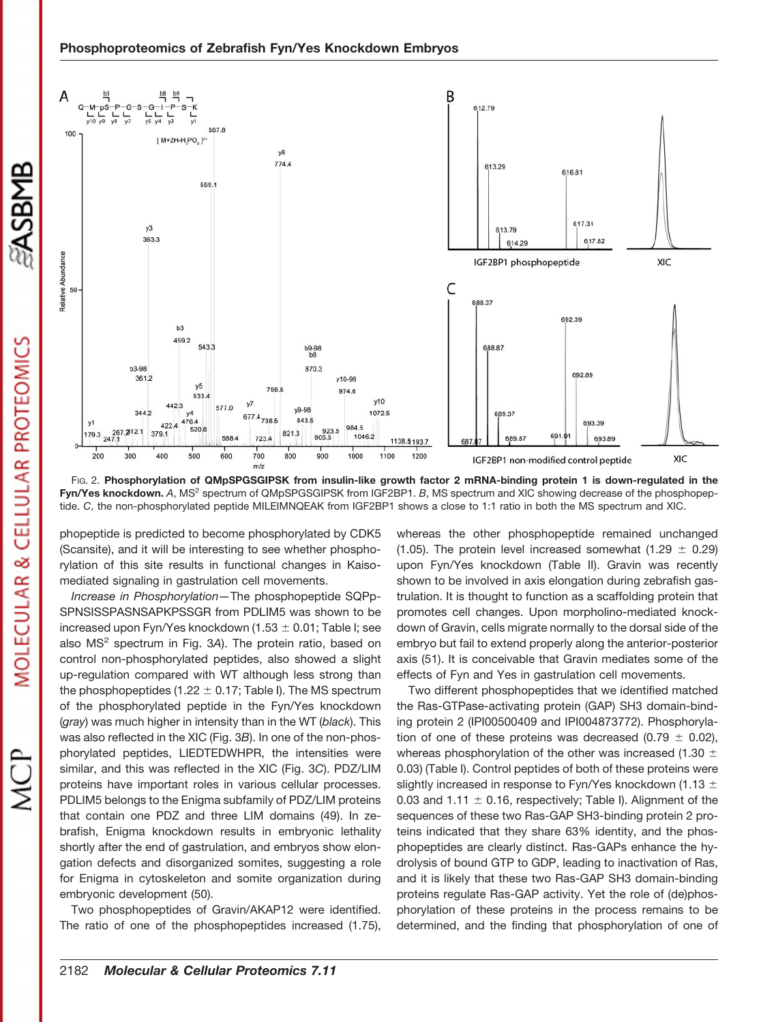

FIG. 2. **Phosphorylation of QMpSPGSGIPSK from insulin-like growth factor 2 mRNA-binding protein 1 is down-regulated in the Fyn/Yes knockdown.** *A*, MS2 spectrum of QMpSPGSGIPSK from IGF2BP1. *B*, MS spectrum and XIC showing decrease of the phosphopeptide. *C*, the non-phosphorylated peptide MILEIMNQEAK from IGF2BP1 shows a close to 1:1 ratio in both the MS spectrum and XIC.

phopeptide is predicted to become phosphorylated by CDK5 (Scansite), and it will be interesting to see whether phosphorylation of this site results in functional changes in Kaisomediated signaling in gastrulation cell movements.

*Increase in Phosphorylation—*The phosphopeptide SQPp-SPNSISSPASNSAPKPSSGR from PDLIM5 was shown to be increased upon Fyn/Yes knockdown  $(1.53 \pm 0.01)$ ; Table I; see also MS2 spectrum in Fig. 3*A*). The protein ratio, based on control non-phosphorylated peptides, also showed a slight up-regulation compared with WT although less strong than the phosphopeptides (1.22  $\pm$  0.17; Table I). The MS spectrum of the phosphorylated peptide in the Fyn/Yes knockdown (*gray*) was much higher in intensity than in the WT (*black*). This was also reflected in the XIC (Fig. 3*B*). In one of the non-phosphorylated peptides, LIEDTEDWHPR, the intensities were similar, and this was reflected in the XIC (Fig. 3*C*). PDZ/LIM proteins have important roles in various cellular processes. PDLIM5 belongs to the Enigma subfamily of PDZ/LIM proteins that contain one PDZ and three LIM domains (49). In zebrafish, Enigma knockdown results in embryonic lethality shortly after the end of gastrulation, and embryos show elongation defects and disorganized somites, suggesting a role for Enigma in cytoskeleton and somite organization during embryonic development (50).

Two phosphopeptides of Gravin/AKAP12 were identified. The ratio of one of the phosphopeptides increased (1.75), whereas the other phosphopeptide remained unchanged (1.05). The protein level increased somewhat (1.29  $\pm$  0.29) upon Fyn/Yes knockdown (Table II). Gravin was recently shown to be involved in axis elongation during zebrafish gastrulation. It is thought to function as a scaffolding protein that promotes cell changes. Upon morpholino-mediated knockdown of Gravin, cells migrate normally to the dorsal side of the embryo but fail to extend properly along the anterior-posterior axis (51). It is conceivable that Gravin mediates some of the effects of Fyn and Yes in gastrulation cell movements.

Two different phosphopeptides that we identified matched the Ras-GTPase-activating protein (GAP) SH3 domain-binding protein 2 (IPI00500409 and IPI004873772). Phosphorylation of one of these proteins was decreased (0.79  $\pm$  0.02), whereas phosphorylation of the other was increased (1.30  $\pm$ 0.03) (Table I). Control peptides of both of these proteins were slightly increased in response to Fyn/Yes knockdown (1.13  $\pm$ 0.03 and 1.11  $\pm$  0.16, respectively; Table I). Alignment of the sequences of these two Ras-GAP SH3-binding protein 2 proteins indicated that they share 63% identity, and the phosphopeptides are clearly distinct. Ras-GAPs enhance the hydrolysis of bound GTP to GDP, leading to inactivation of Ras, and it is likely that these two Ras-GAP SH3 domain-binding proteins regulate Ras-GAP activity. Yet the role of (de)phosphorylation of these proteins in the process remains to be determined, and the finding that phosphorylation of one of

**SASBMB**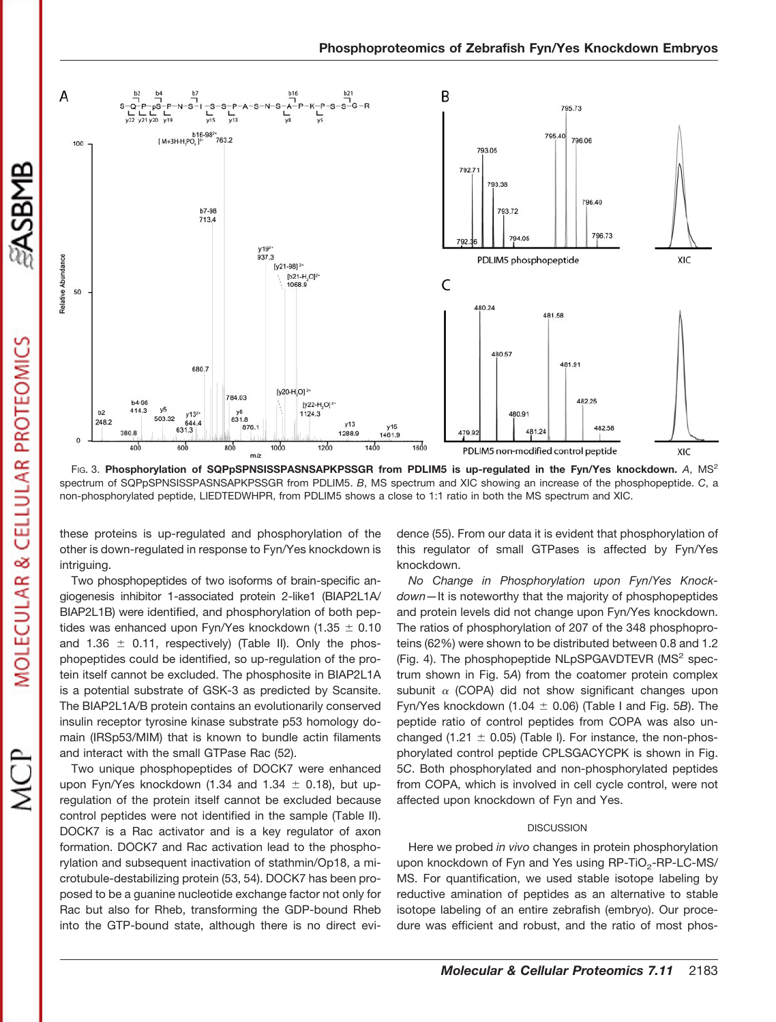

FIG. 3. **Phosphorylation of SQPpSPNSISSPASNSAPKPSSGR from PDLIM5 is up-regulated in the Fyn/Yes knockdown.** *A*, MS2 spectrum of SQPpSPNSISSPASNSAPKPSSGR from PDLIM5. *B*, MS spectrum and XIC showing an increase of the phosphopeptide. *C*, a non-phosphorylated peptide, LIEDTEDWHPR, from PDLIM5 shows a close to 1:1 ratio in both the MS spectrum and XIC.

these proteins is up-regulated and phosphorylation of the other is down-regulated in response to Fyn/Yes knockdown is intriguing.

Two phosphopeptides of two isoforms of brain-specific angiogenesis inhibitor 1-associated protein 2-like1 (BIAP2L1A/ BIAP2L1B) were identified, and phosphorylation of both peptides was enhanced upon Fyn/Yes knockdown (1.35  $\pm$  0.10 and 1.36  $\pm$  0.11, respectively) (Table II). Only the phosphopeptides could be identified, so up-regulation of the protein itself cannot be excluded. The phosphosite in BIAP2L1A is a potential substrate of GSK-3 as predicted by Scansite. The BIAP2L1A/B protein contains an evolutionarily conserved insulin receptor tyrosine kinase substrate p53 homology domain (IRSp53/MIM) that is known to bundle actin filaments and interact with the small GTPase Rac (52).

Two unique phosphopeptides of DOCK7 were enhanced upon Fyn/Yes knockdown (1.34 and 1.34  $\pm$  0.18), but upregulation of the protein itself cannot be excluded because control peptides were not identified in the sample (Table II). DOCK7 is a Rac activator and is a key regulator of axon formation. DOCK7 and Rac activation lead to the phosphorylation and subsequent inactivation of stathmin/Op18, a microtubule-destabilizing protein (53, 54). DOCK7 has been proposed to be a guanine nucleotide exchange factor not only for Rac but also for Rheb, transforming the GDP-bound Rheb into the GTP-bound state, although there is no direct evidence (55). From our data it is evident that phosphorylation of this regulator of small GTPases is affected by Fyn/Yes knockdown.

*No Change in Phosphorylation upon Fyn/Yes Knockdown—*It is noteworthy that the majority of phosphopeptides and protein levels did not change upon Fyn/Yes knockdown. The ratios of phosphorylation of 207 of the 348 phosphoproteins (62%) were shown to be distributed between 0.8 and 1.2 (Fig. 4). The phosphopeptide  $NLpSPGAVDTEVR$  (MS<sup>2</sup> spectrum shown in Fig. 5*A*) from the coatomer protein complex subunit  $\alpha$  (COPA) did not show significant changes upon Fyn/Yes knockdown  $(1.04 \pm 0.06)$  (Table I and Fig. 5*B*). The peptide ratio of control peptides from COPA was also unchanged (1.21  $\pm$  0.05) (Table I). For instance, the non-phosphorylated control peptide CPLSGACYCPK is shown in Fig. 5*C*. Both phosphorylated and non-phosphorylated peptides from COPA, which is involved in cell cycle control, were not affected upon knockdown of Fyn and Yes.

#### **DISCUSSION**

Here we probed *in vivo* changes in protein phosphorylation upon knockdown of Fyn and Yes using RP-TiO<sub>2</sub>-RP-LC-MS/ MS. For quantification, we used stable isotope labeling by reductive amination of peptides as an alternative to stable isotope labeling of an entire zebrafish (embryo). Our procedure was efficient and robust, and the ratio of most phos-

**SASBMB**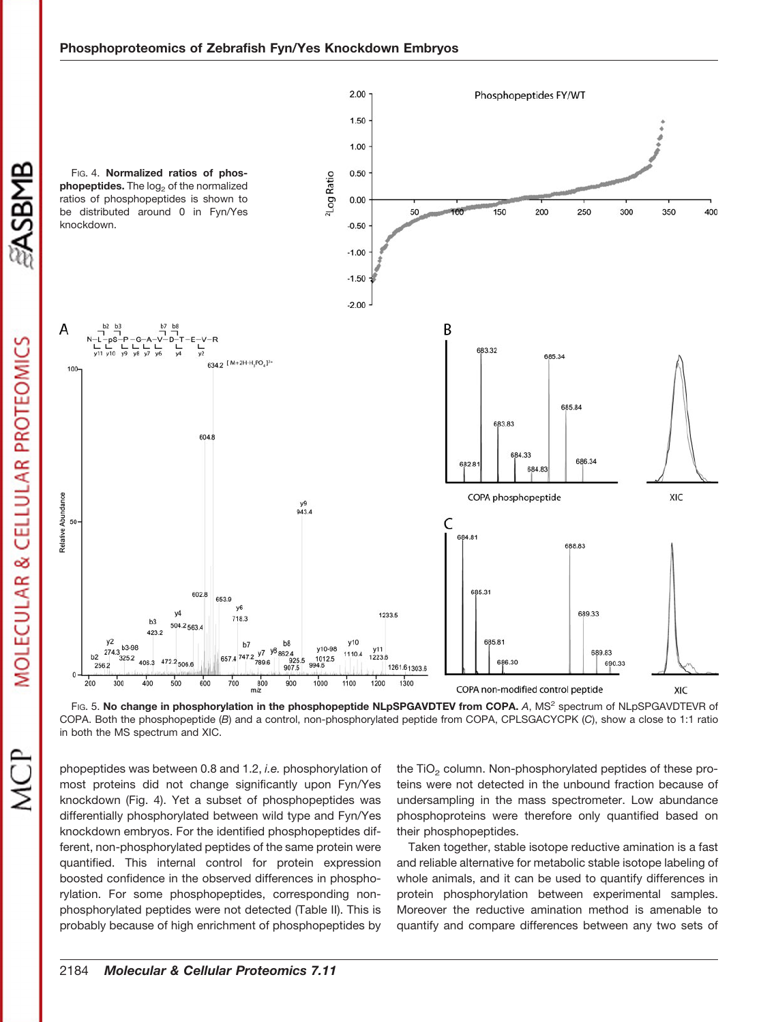

Fig. 5. No change in phosphorylation in the phosphopeptide NLpSPGAVDTEV from COPA. A, MS<sup>2</sup> spectrum of NLpSPGAVDTEVR of COPA. Both the phosphopeptide (*B*) and a control, non-phosphorylated peptide from COPA, CPLSGACYCPK (*C*), show a close to 1:1 ratio in both the MS spectrum and XIC.

phopeptides was between 0.8 and 1.2, *i.e.* phosphorylation of most proteins did not change significantly upon Fyn/Yes knockdown (Fig. 4). Yet a subset of phosphopeptides was differentially phosphorylated between wild type and Fyn/Yes knockdown embryos. For the identified phosphopeptides different, non-phosphorylated peptides of the same protein were quantified. This internal control for protein expression boosted confidence in the observed differences in phosphorylation. For some phosphopeptides, corresponding nonphosphorylated peptides were not detected (Table II). This is probably because of high enrichment of phosphopeptides by

the TiO<sub>2</sub> column. Non-phosphorylated peptides of these proteins were not detected in the unbound fraction because of undersampling in the mass spectrometer. Low abundance phosphoproteins were therefore only quantified based on their phosphopeptides.

Taken together, stable isotope reductive amination is a fast and reliable alternative for metabolic stable isotope labeling of whole animals, and it can be used to quantify differences in protein phosphorylation between experimental samples. Moreover the reductive amination method is amenable to quantify and compare differences between any two sets of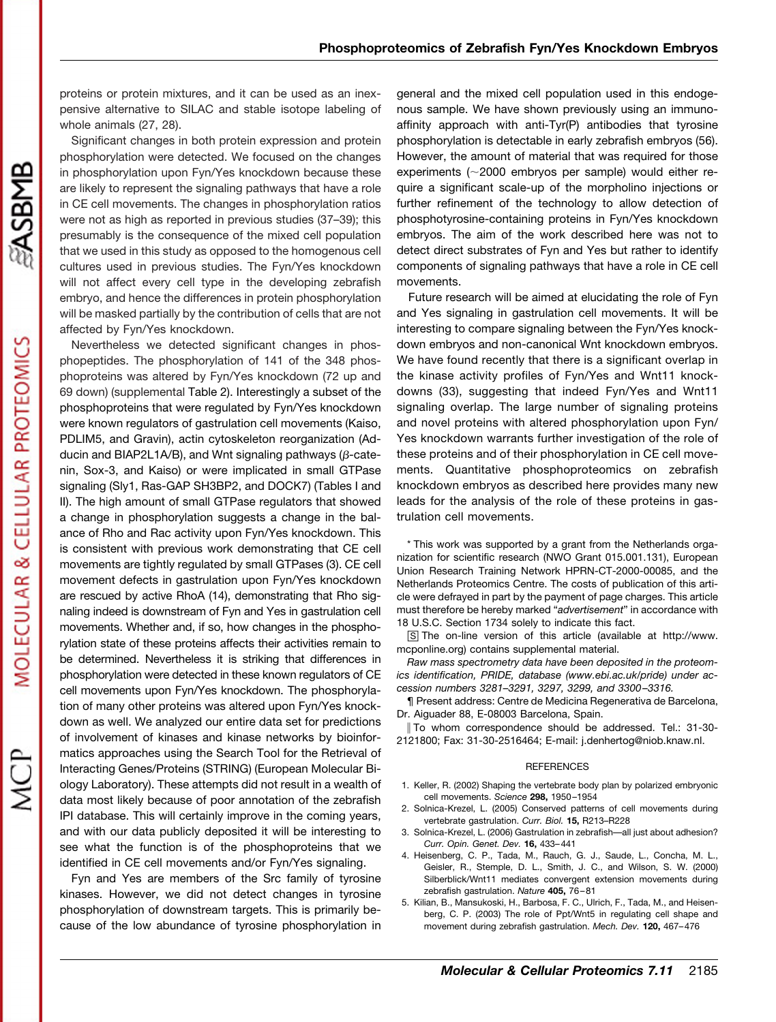proteins or protein mixtures, and it can be used as an inexpensive alternative to SILAC and stable isotope labeling of whole animals (27, 28).

Significant changes in both protein expression and protein phosphorylation were detected. We focused on the changes in phosphorylation upon Fyn/Yes knockdown because these are likely to represent the signaling pathways that have a role in CE cell movements. The changes in phosphorylation ratios were not as high as reported in previous studies (37–39); this presumably is the consequence of the mixed cell population that we used in this study as opposed to the homogenous cell cultures used in previous studies. The Fyn/Yes knockdown will not affect every cell type in the developing zebrafish embryo, and hence the differences in protein phosphorylation will be masked partially by the contribution of cells that are not affected by Fyn/Yes knockdown.

Nevertheless we detected significant changes in phosphopeptides. The phosphorylation of 141 of the 348 phosphoproteins was altered by Fyn/Yes knockdown (72 up and 69 down) [\(supplemental](http://www.mcponline.org/cgi/content/full/M800081-MCP200/DC1) Table 2). Interestingly a subset of the phosphoproteins that were regulated by Fyn/Yes knockdown were known regulators of gastrulation cell movements (Kaiso, PDLIM5, and Gravin), actin cytoskeleton reorganization (Adducin and BIAP2L1A/B), and Wnt signaling pathways ( $\beta$ -catenin, Sox-3, and Kaiso) or were implicated in small GTPase signaling (Sly1, Ras-GAP SH3BP2, and DOCK7) (Tables I and II). The high amount of small GTPase regulators that showed a change in phosphorylation suggests a change in the balance of Rho and Rac activity upon Fyn/Yes knockdown. This is consistent with previous work demonstrating that CE cell movements are tightly regulated by small GTPases (3). CE cell movement defects in gastrulation upon Fyn/Yes knockdown are rescued by active RhoA (14), demonstrating that Rho signaling indeed is downstream of Fyn and Yes in gastrulation cell movements. Whether and, if so, how changes in the phosphorylation state of these proteins affects their activities remain to be determined. Nevertheless it is striking that differences in phosphorylation were detected in these known regulators of CE cell movements upon Fyn/Yes knockdown. The phosphorylation of many other proteins was altered upon Fyn/Yes knockdown as well. We analyzed our entire data set for predictions of involvement of kinases and kinase networks by bioinformatics approaches using the Search Tool for the Retrieval of Interacting Genes/Proteins (STRING) (European Molecular Biology Laboratory). These attempts did not result in a wealth of data most likely because of poor annotation of the zebrafish IPI database. This will certainly improve in the coming years, and with our data publicly deposited it will be interesting to see what the function is of the phosphoproteins that we identified in CE cell movements and/or Fyn/Yes signaling.

Fyn and Yes are members of the Src family of tyrosine kinases. However, we did not detect changes in tyrosine phosphorylation of downstream targets. This is primarily because of the low abundance of tyrosine phosphorylation in

general and the mixed cell population used in this endogenous sample. We have shown previously using an immunoaffinity approach with anti-Tyr(P) antibodies that tyrosine phosphorylation is detectable in early zebrafish embryos (56). However, the amount of material that was required for those experiments  $(\sim 2000$  embryos per sample) would either require a significant scale-up of the morpholino injections or further refinement of the technology to allow detection of phosphotyrosine-containing proteins in Fyn/Yes knockdown embryos. The aim of the work described here was not to detect direct substrates of Fyn and Yes but rather to identify components of signaling pathways that have a role in CE cell movements.

Future research will be aimed at elucidating the role of Fyn and Yes signaling in gastrulation cell movements. It will be interesting to compare signaling between the Fyn/Yes knockdown embryos and non-canonical Wnt knockdown embryos. We have found recently that there is a significant overlap in the kinase activity profiles of Fyn/Yes and Wnt11 knockdowns (33), suggesting that indeed Fyn/Yes and Wnt11 signaling overlap. The large number of signaling proteins and novel proteins with altered phosphorylation upon Fyn/ Yes knockdown warrants further investigation of the role of these proteins and of their phosphorylation in CE cell movements. Quantitative phosphoproteomics on zebrafish knockdown embryos as described here provides many new leads for the analysis of the role of these proteins in gastrulation cell movements.

\* This work was supported by a grant from the Netherlands organization for scientific research (NWO Grant 015.001.131), European Union Research Training Network HPRN-CT-2000-00085, and the Netherlands Proteomics Centre. The costs of publication of this article were defrayed in part by the payment of page charges. This article must therefore be hereby marked "*advertisement*" in accordance with 18 U.S.C. Section 1734 solely to indicate this fact.

□S The on-line version of this article (available at http://www. mcponline.org) contains [supplemental](http://www.mcponline.org/cgi/content/full/M800081-MCP200/DC1) material.

*Raw mass spectrometry data have been deposited in the proteomics identification, PRIDE, database (www.ebi.ac.uk/pride) under accession numbers 3281–3291, 3297, 3299, and 3300 –3316.*

¶ Present address: Centre de Medicina Regenerativa de Barcelona, Dr. Aiguader 88, E-08003 Barcelona, Spain.

 To whom correspondence should be addressed. Tel.: 31-30- 2121800; Fax: 31-30-2516464; E-mail: j.denhertog@niob.knaw.nl.

#### **REFERENCES**

- 1. Keller, R. (2002) Shaping the vertebrate body plan by polarized embryonic cell movements. *Science* **298,** 1950–1954
- 2. Solnica-Krezel, L. (2005) Conserved patterns of cell movements during vertebrate gastrulation. *Curr. Biol.* **15,** R213–R228
- 3. Solnica-Krezel, L. (2006) Gastrulation in zebrafish—all just about adhesion? *Curr. Opin. Genet. Dev.* **16,** 433–441
- 4. Heisenberg, C. P., Tada, M., Rauch, G. J., Saude, L., Concha, M. L., Geisler, R., Stemple, D. L., Smith, J. C., and Wilson, S. W. (2000) Silberblick/Wnt11 mediates convergent extension movements during zebrafish gastrulation. *Nature* **405,** 76–81
- 5. Kilian, B., Mansukoski, H., Barbosa, F. C., Ulrich, F., Tada, M., and Heisenberg, C. P. (2003) The role of Ppt/Wnt5 in regulating cell shape and movement during zebrafish gastrulation. *Mech. Dev.* **120,** 467–476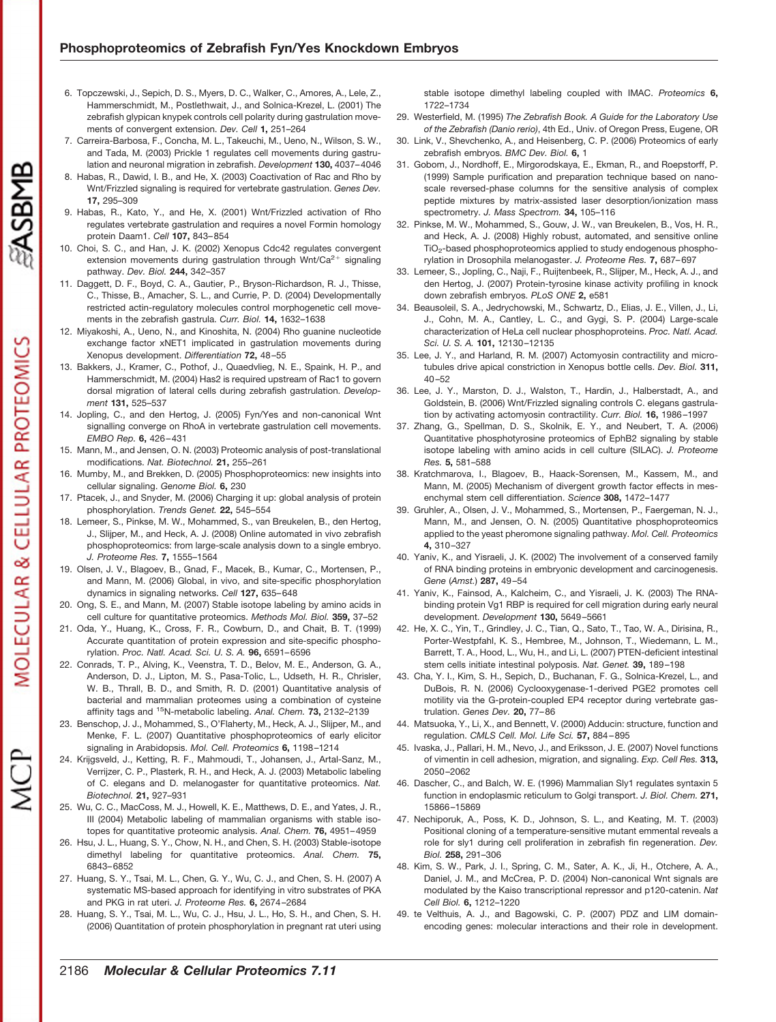- 6. Topczewski, J., Sepich, D. S., Myers, D. C., Walker, C., Amores, A., Lele, Z., Hammerschmidt, M., Postlethwait, J., and Solnica-Krezel, L. (2001) The zebrafish glypican knypek controls cell polarity during gastrulation movements of convergent extension. *Dev. Cell* **1,** 251–264
- 7. Carreira-Barbosa, F., Concha, M. L., Takeuchi, M., Ueno, N., Wilson, S. W., and Tada, M. (2003) Prickle 1 regulates cell movements during gastrulation and neuronal migration in zebrafish. *Development* **130,** 4037–4046
- 8. Habas, R., Dawid, I. B., and He, X. (2003) Coactivation of Rac and Rho by Wnt/Frizzled signaling is required for vertebrate gastrulation. *Genes Dev.* **17,** 295–309
- 9. Habas, R., Kato, Y., and He, X. (2001) Wnt/Frizzled activation of Rho regulates vertebrate gastrulation and requires a novel Formin homology protein Daam1. *Cell* **107,** 843–854
- 10. Choi, S. C., and Han, J. K. (2002) Xenopus Cdc42 regulates convergent extension movements during gastrulation through Wnt/Ca $^{2+}$  signaling pathway. *Dev. Biol.* **244,** 342–357
- 11. Daggett, D. F., Boyd, C. A., Gautier, P., Bryson-Richardson, R. J., Thisse, C., Thisse, B., Amacher, S. L., and Currie, P. D. (2004) Developmentally restricted actin-regulatory molecules control morphogenetic cell movements in the zebrafish gastrula. *Curr. Biol.* **14,** 1632–1638
- 12. Miyakoshi, A., Ueno, N., and Kinoshita, N. (2004) Rho guanine nucleotide exchange factor xNET1 implicated in gastrulation movements during Xenopus development. *Differentiation* **72,** 48–55
- 13. Bakkers, J., Kramer, C., Pothof, J., Quaedvlieg, N. E., Spaink, H. P., and Hammerschmidt, M. (2004) Has2 is required upstream of Rac1 to govern dorsal migration of lateral cells during zebrafish gastrulation. *Development* **131,** 525–537
- 14. Jopling, C., and den Hertog, J. (2005) Fyn/Yes and non-canonical Wnt signalling converge on RhoA in vertebrate gastrulation cell movements. *EMBO Rep.* **6,** 426–431
- 15. Mann, M., and Jensen, O. N. (2003) Proteomic analysis of post-translational modifications. *Nat. Biotechnol.* **21,** 255–261
- 16. Mumby, M., and Brekken, D. (2005) Phosphoproteomics: new insights into cellular signaling. *Genome Biol.* **6,** 230
- 17. Ptacek, J., and Snyder, M. (2006) Charging it up: global analysis of protein phosphorylation. *Trends Genet.* **22,** 545–554
- 18. Lemeer, S., Pinkse, M. W., Mohammed, S., van Breukelen, B., den Hertog, J., Slijper, M., and Heck, A. J. (2008) Online automated in vivo zebrafish phosphoproteomics: from large-scale analysis down to a single embryo. *J. Proteome Res.* **7,** 1555–1564
- 19. Olsen, J. V., Blagoev, B., Gnad, F., Macek, B., Kumar, C., Mortensen, P., and Mann, M. (2006) Global, in vivo, and site-specific phosphorylation dynamics in signaling networks. *Cell* **127,** 635–648
- 20. Ong, S. E., and Mann, M. (2007) Stable isotope labeling by amino acids in cell culture for quantitative proteomics. *Methods Mol. Biol.* **359,** 37–52
- 21. Oda, Y., Huang, K., Cross, F. R., Cowburn, D., and Chait, B. T. (1999) Accurate quantitation of protein expression and site-specific phosphorylation. *Proc. Natl. Acad. Sci. U. S. A.* **96,** 6591–6596
- 22. Conrads, T. P., Alving, K., Veenstra, T. D., Belov, M. E., Anderson, G. A., Anderson, D. J., Lipton, M. S., Pasa-Tolic, L., Udseth, H. R., Chrisler, W. B., Thrall, B. D., and Smith, R. D. (2001) Quantitative analysis of bacterial and mammalian proteomes using a combination of cysteine affinity tags and 15N-metabolic labeling. *Anal. Chem.* **73,** 2132–2139
- 23. Benschop, J. J., Mohammed, S., O'Flaherty, M., Heck, A. J., Slijper, M., and Menke, F. L. (2007) Quantitative phosphoproteomics of early elicitor signaling in Arabidopsis. *Mol. Cell. Proteomics* **6,** 1198–1214
- 24. Krijgsveld, J., Ketting, R. F., Mahmoudi, T., Johansen, J., Artal-Sanz, M., Verrijzer, C. P., Plasterk, R. H., and Heck, A. J. (2003) Metabolic labeling of C. elegans and D. melanogaster for quantitative proteomics. *Nat. Biotechnol.* **21,** 927–931
- 25. Wu, C. C., MacCoss, M. J., Howell, K. E., Matthews, D. E., and Yates, J. R., III (2004) Metabolic labeling of mammalian organisms with stable isotopes for quantitative proteomic analysis. *Anal. Chem.* **76,** 4951–4959
- 26. Hsu, J. L., Huang, S. Y., Chow, N. H., and Chen, S. H. (2003) Stable-isotope dimethyl labeling for quantitative proteomics. *Anal. Chem.* **75,** 6843–6852
- 27. Huang, S. Y., Tsai, M. L., Chen, G. Y., Wu, C. J., and Chen, S. H. (2007) A systematic MS-based approach for identifying in vitro substrates of PKA and PKG in rat uteri. *J. Proteome Res.* **6,** 2674–2684
- 28. Huang, S. Y., Tsai, M. L., Wu, C. J., Hsu, J. L., Ho, S. H., and Chen, S. H. (2006) Quantitation of protein phosphorylation in pregnant rat uteri using

stable isotope dimethyl labeling coupled with IMAC. *Proteomics* **6,** 1722–1734

- 29. Westerfield, M. (1995) *The Zebrafish Book. A Guide for the Laboratory Use of the Zebrafish (Danio rerio)*, 4th Ed., Univ. of Oregon Press, Eugene, OR
- 30. Link, V., Shevchenko, A., and Heisenberg, C. P. (2006) Proteomics of early zebrafish embryos. *BMC Dev. Biol.* **6,** 1
- 31. Gobom, J., Nordhoff, E., Mirgorodskaya, E., Ekman, R., and Roepstorff, P. (1999) Sample purification and preparation technique based on nanoscale reversed-phase columns for the sensitive analysis of complex peptide mixtures by matrix-assisted laser desorption/ionization mass spectrometry. *J. Mass Spectrom.* **34,** 105–116
- 32. Pinkse, M. W., Mohammed, S., Gouw, J. W., van Breukelen, B., Vos, H. R., and Heck, A. J. (2008) Highly robust, automated, and sensitive online TiO<sub>2</sub>-based phosphoproteomics applied to study endogenous phosphorylation in Drosophila melanogaster. *J. Proteome Res.* **7,** 687–697
- 33. Lemeer, S., Jopling, C., Naji, F., Ruijtenbeek, R., Slijper, M., Heck, A. J., and den Hertog, J. (2007) Protein-tyrosine kinase activity profiling in knock down zebrafish embryos. *PLoS ONE* **2,** e581
- 34. Beausoleil, S. A., Jedrychowski, M., Schwartz, D., Elias, J. E., Villen, J., Li, J., Cohn, M. A., Cantley, L. C., and Gygi, S. P. (2004) Large-scale characterization of HeLa cell nuclear phosphoproteins. *Proc. Natl. Acad. Sci. U. S. A.* **101,** 12130–12135
- 35. Lee, J. Y., and Harland, R. M. (2007) Actomyosin contractility and microtubules drive apical constriction in Xenopus bottle cells. *Dev. Biol.* **311,** 40–52
- 36. Lee, J. Y., Marston, D. J., Walston, T., Hardin, J., Halberstadt, A., and Goldstein, B. (2006) Wnt/Frizzled signaling controls C. elegans gastrulation by activating actomyosin contractility. *Curr. Biol.* **16,** 1986–1997
- 37. Zhang, G., Spellman, D. S., Skolnik, E. Y., and Neubert, T. A. (2006) Quantitative phosphotyrosine proteomics of EphB2 signaling by stable isotope labeling with amino acids in cell culture (SILAC). *J. Proteome Res.* **5,** 581–588
- 38. Kratchmarova, I., Blagoev, B., Haack-Sorensen, M., Kassem, M., and Mann, M. (2005) Mechanism of divergent growth factor effects in mesenchymal stem cell differentiation. *Science* **308,** 1472–1477
- 39. Gruhler, A., Olsen, J. V., Mohammed, S., Mortensen, P., Faergeman, N. J., Mann, M., and Jensen, O. N. (2005) Quantitative phosphoproteomics applied to the yeast pheromone signaling pathway. *Mol. Cell. Proteomics* **4,** 310–327
- 40. Yaniv, K., and Yisraeli, J. K. (2002) The involvement of a conserved family of RNA binding proteins in embryonic development and carcinogenesis. *Gene* (*Amst.*) **287,** 49–54
- 41. Yaniv, K., Fainsod, A., Kalcheim, C., and Yisraeli, J. K. (2003) The RNAbinding protein Vg1 RBP is required for cell migration during early neural development. *Development* **130,** 5649–5661
- 42. He, X. C., Yin, T., Grindley, J. C., Tian, Q., Sato, T., Tao, W. A., Dirisina, R., Porter-Westpfahl, K. S., Hembree, M., Johnson, T., Wiedemann, L. M., Barrett, T. A., Hood, L., Wu, H., and Li, L. (2007) PTEN-deficient intestinal stem cells initiate intestinal polyposis. *Nat. Genet.* **39,** 189–198
- 43. Cha, Y. I., Kim, S. H., Sepich, D., Buchanan, F. G., Solnica-Krezel, L., and DuBois, R. N. (2006) Cyclooxygenase-1-derived PGE2 promotes cell motility via the G-protein-coupled EP4 receptor during vertebrate gastrulation. *Genes Dev.* **20,** 77–86
- 44. Matsuoka, Y., Li, X., and Bennett, V. (2000) Adducin: structure, function and regulation. *CMLS Cell. Mol. Life Sci.* **57,** 884–895
- 45. Ivaska, J., Pallari, H. M., Nevo, J., and Eriksson, J. E. (2007) Novel functions of vimentin in cell adhesion, migration, and signaling. *Exp. Cell Res.* **313,** 2050–2062
- 46. Dascher, C., and Balch, W. E. (1996) Mammalian Sly1 regulates syntaxin 5 function in endoplasmic reticulum to Golgi transport. *J. Biol. Chem.* **271,** 15866–15869
- 47. Nechiporuk, A., Poss, K. D., Johnson, S. L., and Keating, M. T. (2003) Positional cloning of a temperature-sensitive mutant emmental reveals a role for sly1 during cell proliferation in zebrafish fin regeneration. *Dev. Biol.* **258,** 291–306
- 48. Kim, S. W., Park, J. I., Spring, C. M., Sater, A. K., Ji, H., Otchere, A. A., Daniel, J. M., and McCrea, P. D. (2004) Non-canonical Wnt signals are modulated by the Kaiso transcriptional repressor and p120-catenin. *Nat Cell Biol.* **6,** 1212–1220
- 49. te Velthuis, A. J., and Bagowski, C. P. (2007) PDZ and LIM domainencoding genes: molecular interactions and their role in development.

ASBMB